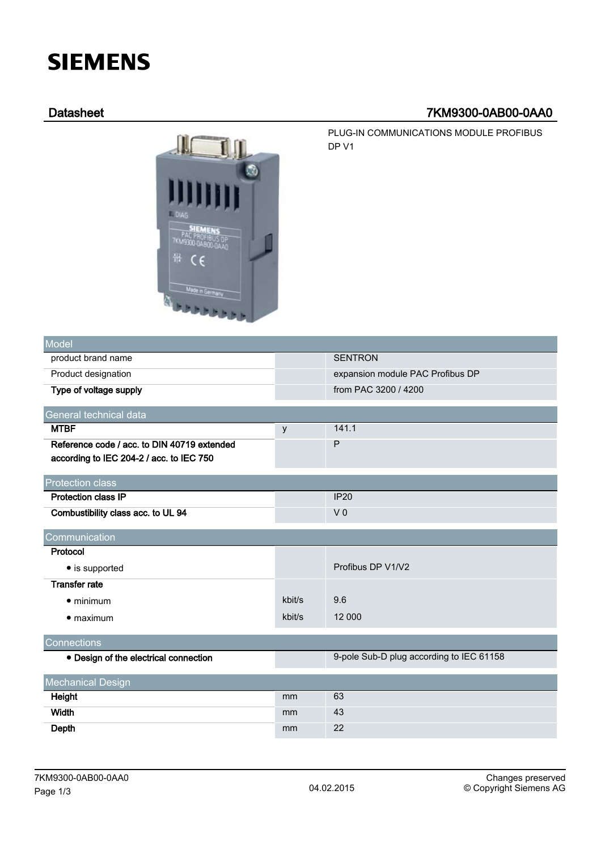# **SIEMENS**

# Datasheet 7KM9300-0AB00-0AA0

EMENS 7KM9300-0AB00-0AA0 뾽  $\epsilon$ Made in Ge

PLUG-IN COMMUNICATIONS MODULE PROFIBUS DP V1

| Model                                       |        |                                          |
|---------------------------------------------|--------|------------------------------------------|
| product brand name                          |        | <b>SENTRON</b>                           |
| Product designation                         |        | expansion module PAC Profibus DP         |
| Type of voltage supply                      |        | from PAC 3200 / 4200                     |
| General technical data                      |        |                                          |
| <b>MTBF</b>                                 | y      | 141.1                                    |
| Reference code / acc. to DIN 40719 extended |        | P                                        |
| according to IEC 204-2 / acc. to IEC 750    |        |                                          |
| <b>Protection class</b>                     |        |                                          |
| <b>Protection class IP</b>                  |        | <b>IP20</b>                              |
| Combustibility class acc. to UL 94          |        | V <sub>0</sub>                           |
| Communication                               |        |                                          |
| Protocol                                    |        |                                          |
| • is supported                              |        | Profibus DP V1/V2                        |
| <b>Transfer rate</b>                        |        |                                          |
| $\bullet$ minimum                           | kbit/s | 9.6                                      |
| $\bullet$ maximum                           | kbit/s | 12 000                                   |
| Connections                                 |        |                                          |
| • Design of the electrical connection       |        | 9-pole Sub-D plug according to IEC 61158 |
| <b>Mechanical Design</b>                    |        |                                          |
| Height                                      | mm     | 63                                       |
| Width                                       | mm     | 43                                       |
| Depth                                       | mm     | 22                                       |
|                                             |        |                                          |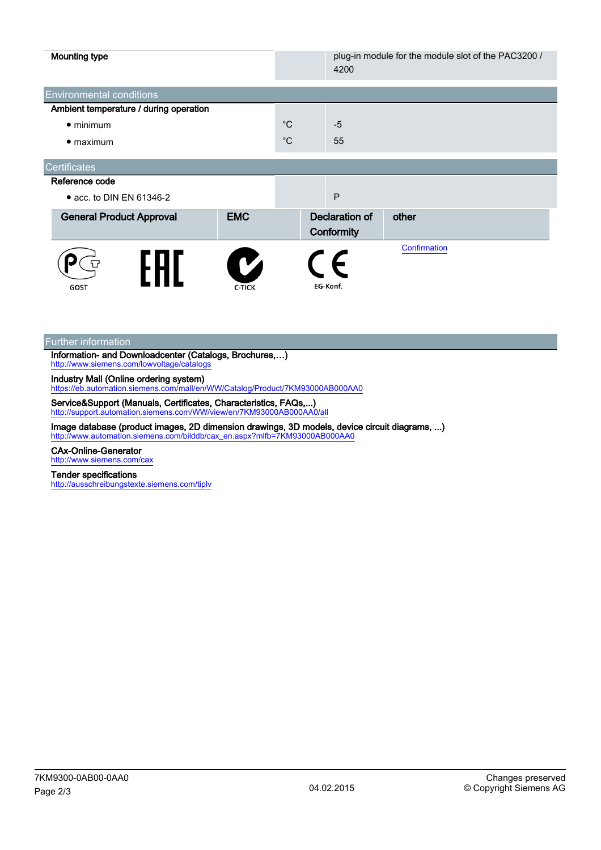| <b>Mounting type</b>                   |                    |             | 4200                                | plug-in module for the module slot of the PAC3200 / |
|----------------------------------------|--------------------|-------------|-------------------------------------|-----------------------------------------------------|
| <b>Environmental conditions</b>        |                    |             |                                     |                                                     |
| Ambient temperature / during operation |                    |             |                                     |                                                     |
| $\bullet$ minimum                      |                    | $^{\circ}C$ | $-5$                                |                                                     |
| $\bullet$ maximum                      |                    | $^{\circ}C$ | 55                                  |                                                     |
| <b>Certificates</b>                    |                    |             |                                     |                                                     |
| Reference code                         |                    |             |                                     |                                                     |
| • acc. to DIN EN 61346-2               |                    |             | P                                   |                                                     |
| <b>General Product Approval</b>        | <b>EMC</b>         |             | <b>Declaration of</b><br>Conformity | other                                               |
| GOST                                   | V<br><b>C-TICK</b> |             | E<br>EG-Konf.                       | Confirmation                                        |

Further information

Information- and Downloadcenter (Catalogs, Brochures,…) <http://www.siemens.com/lowvoltage/catalogs>

Industry Mall (Online ordering system)

<https://eb.automation.siemens.com/mall/en/WW/Catalog/Product/7KM93000AB000AA0>

Service&Support (Manuals, Certificates, Characteristics, FAQs,...) <http://support.automation.siemens.com/WW/view/en/7KM93000AB000AA0/all>

Image database (product images, 2D dimension drawings, 3D models, device circuit diagrams, ...) [http://www.automation.siemens.com/bilddb/cax\\_en.aspx?mlfb=7KM93000AB000AA0](http://www.automation.siemens.com/bilddb/cax_en.aspx?mlfb=7KM93000AB000AA0)

## CAx-Online-Generator

<http://www.siemens.com/cax>

### Tender specifications

<http://ausschreibungstexte.siemens.com/tiplv>